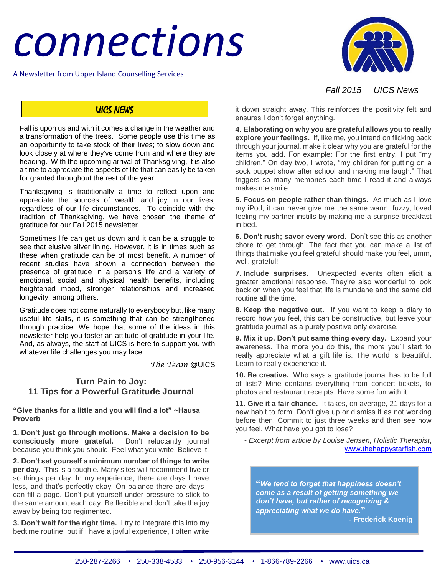# *connections*

A Newsletter from Upper Island Counselling Services



# *Fall 2015 UICS News*

## UICS NEWS

Fall is upon us and with it comes a change in the weather and a transformation of the trees. Some people use this time as an opportunity to take stock of their lives; to slow down and look closely at where they've come from and where they are heading. With the upcoming arrival of Thanksgiving, it is also a time to appreciate the aspects of life that can easily be taken for granted throughout the rest of the year.

Thanksgiving is traditionally a time to reflect upon and appreciate the sources of wealth and joy in our lives, regardless of our life circumstances. To coincide with the tradition of Thanksgiving, we have chosen the theme of gratitude for our Fall 2015 newsletter.

Sometimes life can get us down and it can be a struggle to see that elusive silver lining. However, it is in times such as these when gratitude can be of most benefit. A number of recent studies have shown a connection between the presence of gratitude in a person's life and a variety of emotional, social and physical health benefits, including heightened mood, stronger relationships and increased longevity, among others.

Gratitude does not come naturally to everybody but, like many useful life skills, it is something that can be strengthened through practice. We hope that some of the ideas in this newsletter help you foster an attitude of gratitude in your life. And, as always, the staff at UICS is here to support you with whatever life challenges you may face.

*The Team* @UICS

### **Turn Pain to Joy: 11 Tips for a Powerful Gratitude Journal**

**"Give thanks for a little and you will find a lot" ~Hausa Proverb**

**1. Don't just go through motions. Make a decision to be consciously more grateful.** Don't reluctantly journal because you think you should. Feel what you write. Believe it.

**2. Don't set yourself a minimum number of things to write per day.** This is a toughie. Many sites will recommend five or so things per day. In my experience, there are days I have less, and that's perfectly okay. On balance there are days I can fill a page. Don't put yourself under pressure to stick to the same amount each day. Be flexible and don't take the joy away by being too regimented.

**3. Don't wait for the right time.** I try to integrate this into my bedtime routine, but if I have a joyful experience, I often write

it down straight away. This reinforces the [positivity felt](http://tinybuddha.com/blog/8-tips-to-help-create-a-positive-mental-attitude/) and ensures I don't forget anything.

**4. Elaborating on why you are grateful allows you to really explore your feelings.** If, like me, you intend on flicking back through your journal, make it clear why you are grateful for the items you add. For example: For the first entry, I put "my children." On day two, I wrote, "my children for putting on a sock puppet show after school and making me laugh." That triggers so many memories each time I read it and always makes me smile.

**5. Focus on people rather than things.** As much as I love my iPod, it can never give me the same warm, fuzzy, loved feeling my partner instills by making me a surprise breakfast in bed.

**6. Don't rush; savor every word.** Don't see this as another chore to get through. The fact that you can make a list of things that make you feel grateful should make you feel, umm, well, grateful!

**7. Include surprises.** Unexpected events often elicit a greater [emotional response.](http://tinybuddha.com/blog/on-catching-thoughts-before-they-become-emotional-reactions/) They're also wonderful to look back on when you feel that life is mundane and the same old routine all the time.

**8. Keep the negative out.** If you want to keep a diary to record how you feel, this can be constructive, but leave your gratitude journal as a purely positive only exercise.

**9. Mix it up. Don't put same thing every day.** Expand your awareness. The more you do this, the more you'll start to really appreciate what a gift life is. The world is beautiful. Learn to really experience it.

**10. Be creative.** Who says a gratitude journal has to be full of lists? Mine contains everything from concert tickets, to photos and restaurant receipts. Have some fun with it.

**11. Give it a fair chance.** It takes, on average, 21 days for a new habit to form. Don't give up or dismiss it as not working before then. Commit to just three weeks and then see how you feel. What have you got to lose?

*- Excerpt from article by Louise Jensen, Holistic Therapist*, [www.thehappystarfish.com](http://www.thehappystarfish.com/)

**"***We tend to forget that happiness doesn't come as a result of getting something we don't have, but rather of recognizing & appreciating what we do have.***"**

**- Frederick Koenig**